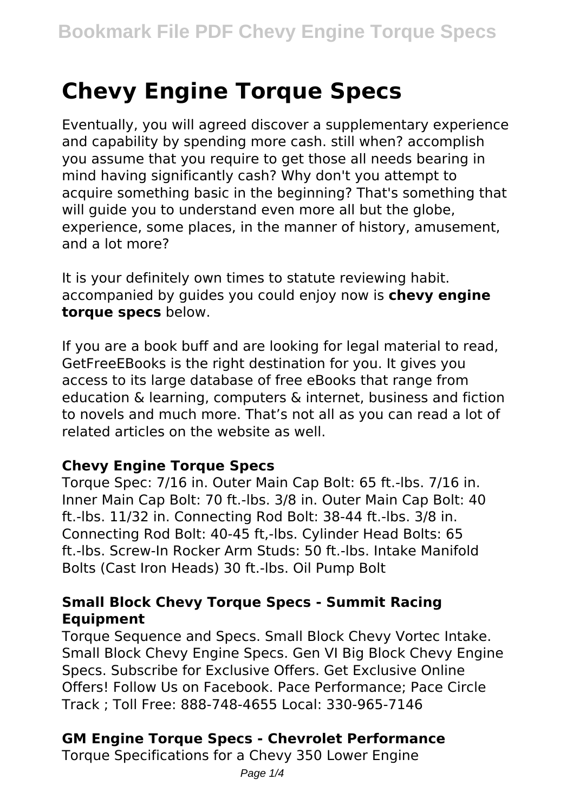# **Chevy Engine Torque Specs**

Eventually, you will agreed discover a supplementary experience and capability by spending more cash. still when? accomplish you assume that you require to get those all needs bearing in mind having significantly cash? Why don't you attempt to acquire something basic in the beginning? That's something that will guide you to understand even more all but the globe, experience, some places, in the manner of history, amusement, and a lot more?

It is your definitely own times to statute reviewing habit. accompanied by guides you could enjoy now is **chevy engine torque specs** below.

If you are a book buff and are looking for legal material to read, GetFreeEBooks is the right destination for you. It gives you access to its large database of free eBooks that range from education & learning, computers & internet, business and fiction to novels and much more. That's not all as you can read a lot of related articles on the website as well.

#### **Chevy Engine Torque Specs**

Torque Spec: 7/16 in. Outer Main Cap Bolt: 65 ft.-lbs. 7/16 in. Inner Main Cap Bolt: 70 ft.-lbs. 3/8 in. Outer Main Cap Bolt: 40 ft.-lbs. 11/32 in. Connecting Rod Bolt: 38-44 ft.-lbs. 3/8 in. Connecting Rod Bolt: 40-45 ft,-lbs. Cylinder Head Bolts: 65 ft.-lbs. Screw-In Rocker Arm Studs: 50 ft.-lbs. Intake Manifold Bolts (Cast Iron Heads) 30 ft.-lbs. Oil Pump Bolt

#### **Small Block Chevy Torque Specs - Summit Racing Equipment**

Torque Sequence and Specs. Small Block Chevy Vortec Intake. Small Block Chevy Engine Specs. Gen VI Big Block Chevy Engine Specs. Subscribe for Exclusive Offers. Get Exclusive Online Offers! Follow Us on Facebook. Pace Performance; Pace Circle Track ; Toll Free: 888-748-4655 Local: 330-965-7146

# **GM Engine Torque Specs - Chevrolet Performance**

Torque Specifications for a Chevy 350 Lower Engine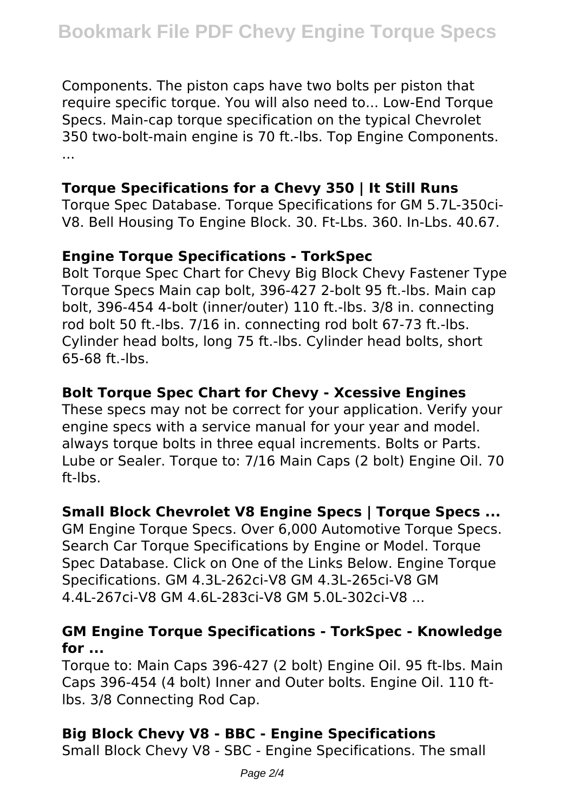Components. The piston caps have two bolts per piston that require specific torque. You will also need to... Low-End Torque Specs. Main-cap torque specification on the typical Chevrolet 350 two-bolt-main engine is 70 ft.-lbs. Top Engine Components. ...

# **Torque Specifications for a Chevy 350 | It Still Runs**

Torque Spec Database. Torque Specifications for GM 5.7L-350ci-V8. Bell Housing To Engine Block. 30. Ft-Lbs. 360. In-Lbs. 40.67.

## **Engine Torque Specifications - TorkSpec**

Bolt Torque Spec Chart for Chevy Big Block Chevy Fastener Type Torque Specs Main cap bolt, 396-427 2-bolt 95 ft.-lbs. Main cap bolt, 396-454 4-bolt (inner/outer) 110 ft.-lbs. 3/8 in. connecting rod bolt 50 ft.-lbs. 7/16 in. connecting rod bolt 67-73 ft.-lbs. Cylinder head bolts, long 75 ft.-lbs. Cylinder head bolts, short 65-68 ft.-lbs.

# **Bolt Torque Spec Chart for Chevy - Xcessive Engines**

These specs may not be correct for your application. Verify your engine specs with a service manual for your year and model. always torque bolts in three equal increments. Bolts or Parts. Lube or Sealer. Torque to: 7/16 Main Caps (2 bolt) Engine Oil. 70 ft-lbs.

# **Small Block Chevrolet V8 Engine Specs | Torque Specs ...**

GM Engine Torque Specs. Over 6,000 Automotive Torque Specs. Search Car Torque Specifications by Engine or Model. Torque Spec Database. Click on One of the Links Below. Engine Torque Specifications. GM 4.3L-262ci-V8 GM 4.3L-265ci-V8 GM 4.4L-267ci-V8 GM 4.6L-283ci-V8 GM 5.0L-302ci-V8 ...

#### **GM Engine Torque Specifications - TorkSpec - Knowledge for ...**

Torque to: Main Caps 396-427 (2 bolt) Engine Oil. 95 ft-lbs. Main Caps 396-454 (4 bolt) Inner and Outer bolts. Engine Oil. 110 ftlbs. 3/8 Connecting Rod Cap.

# **Big Block Chevy V8 - BBC - Engine Specifications**

Small Block Chevy V8 - SBC - Engine Specifications. The small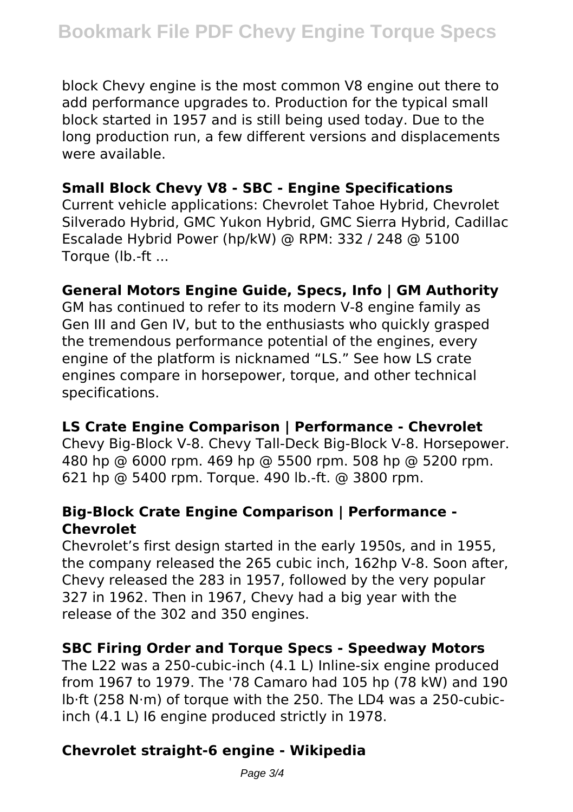block Chevy engine is the most common V8 engine out there to add performance upgrades to. Production for the typical small block started in 1957 and is still being used today. Due to the long production run, a few different versions and displacements were available.

### **Small Block Chevy V8 - SBC - Engine Specifications**

Current vehicle applications: Chevrolet Tahoe Hybrid, Chevrolet Silverado Hybrid, GMC Yukon Hybrid, GMC Sierra Hybrid, Cadillac Escalade Hybrid Power (hp/kW) @ RPM: 332 / 248 @ 5100 Torque (lb.-ft ...

## **General Motors Engine Guide, Specs, Info | GM Authority**

GM has continued to refer to its modern V-8 engine family as Gen III and Gen IV, but to the enthusiasts who quickly grasped the tremendous performance potential of the engines, every engine of the platform is nicknamed "LS." See how LS crate engines compare in horsepower, torque, and other technical specifications.

#### **LS Crate Engine Comparison | Performance - Chevrolet**

Chevy Big-Block V-8. Chevy Tall-Deck Big-Block V-8. Horsepower. 480 hp @ 6000 rpm. 469 hp @ 5500 rpm. 508 hp @ 5200 rpm. 621 hp @ 5400 rpm. Torque. 490 lb.-ft. @ 3800 rpm.

#### **Big-Block Crate Engine Comparison | Performance - Chevrolet**

Chevrolet's first design started in the early 1950s, and in 1955, the company released the 265 cubic inch, 162hp V-8. Soon after, Chevy released the 283 in 1957, followed by the very popular 327 in 1962. Then in 1967, Chevy had a big year with the release of the 302 and 350 engines.

# **SBC Firing Order and Torque Specs - Speedway Motors**

The L22 was a 250-cubic-inch (4.1 L) Inline-six engine produced from 1967 to 1979. The '78 Camaro had 105 hp (78 kW) and 190 lb⋅ft (258 N⋅m) of torque with the 250. The LD4 was a 250-cubicinch (4.1 L) I6 engine produced strictly in 1978.

# **Chevrolet straight-6 engine - Wikipedia**